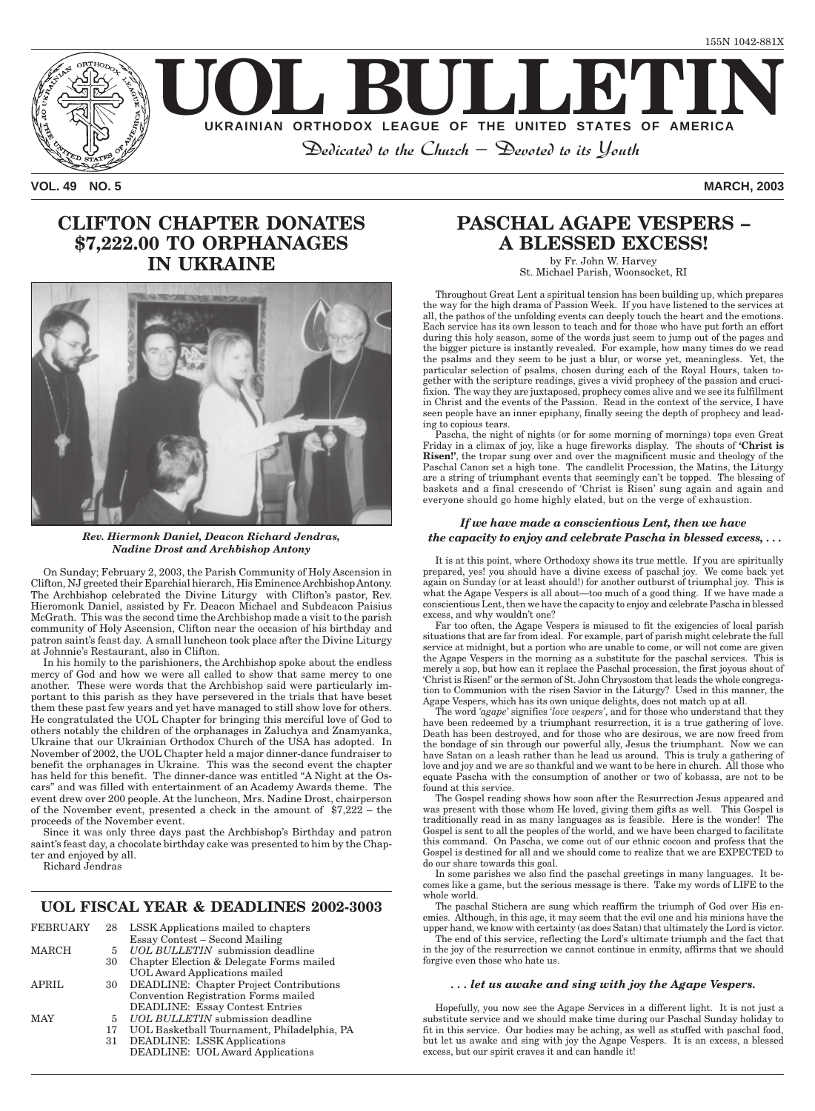

**VOL. 49 NO. 5 MARCH, 2003**

# **CLIFTON CHAPTER DONATES \$7,222.00 TO ORPHANAGES IN UKRAINE**



*Rev. Hiermonk Daniel, Deacon Richard Jendras, Nadine Drost and Archbishop Antony*

On Sunday; February 2, 2003, the Parish Community of Holy Ascension in Clifton, NJ greeted their Eparchial hierarch, His Eminence Archbishop Antony. The Archbishop celebrated the Divine Liturgy with Clifton's pastor, Rev. Hieromonk Daniel, assisted by Fr. Deacon Michael and Subdeacon Paisius McGrath. This was the second time the Archbishop made a visit to the parish community of Holy Ascension, Clifton near the occasion of his birthday and patron saint's feast day. A small luncheon took place after the Divine Liturgy at Johnnie's Restaurant, also in Clifton.

In his homily to the parishioners, the Archbishop spoke about the endless mercy of God and how we were all called to show that same mercy to one another. These were words that the Archbishop said were particularly important to this parish as they have persevered in the trials that have beset them these past few years and yet have managed to still show love for others. He congratulated the UOL Chapter for bringing this merciful love of God to others notably the children of the orphanages in Zaluchya and Znamyanka, Ukraine that our Ukrainian Orthodox Church of the USA has adopted. In November of 2002, the UOL Chapter held a major dinner-dance fundraiser to benefit the orphanages in Ukraine. This was the second event the chapter has held for this benefit. The dinner-dance was entitled "A Night at the Oscars" and was filled with entertainment of an Academy Awards theme. The event drew over 200 people. At the luncheon, Mrs. Nadine Drost, chairperson of the November event, presented a check in the amount of \$7,222 – the proceeds of the November event.

Since it was only three days past the Archbishop's Birthday and patron saint's feast day, a chocolate birthday cake was presented to him by the Chapter and enjoyed by all.

Richard Jendras

### **UOL FISCAL YEAR & DEADLINES 2002-3003**

| <b>FEBRUARY</b> | 28    | LSSK Applications mailed to chapters           |
|-----------------|-------|------------------------------------------------|
|                 |       | <b>Essay Contest - Second Mailing</b>          |
| MARCH           | $5 -$ | UOL BULLETIN submission deadline               |
|                 | 30    | Chapter Election & Delegate Forms mailed       |
|                 |       | <b>UOL Award Applications mailed</b>           |
| <b>APRIL</b>    | 30    | <b>DEADLINE:</b> Chapter Project Contributions |
|                 |       | Convention Registration Forms mailed           |
|                 |       | <b>DEADLINE: Essay Contest Entries</b>         |
| <b>MAY</b>      |       | 5 <i>UOL BULLETIN</i> submission deadline      |
|                 | 17    | UOL Basketball Tournament, Philadelphia, PA    |
|                 | 31    | <b>DEADLINE: LSSK Applications</b>             |
|                 |       | <b>DEADLINE: UOL Award Applications</b>        |

# **PASCHAL AGAPE VESPERS – A BLESSED EXCESS!**

by Fr. John W. Harvey St. Michael Parish, Woonsocket, RI

Throughout Great Lent a spiritual tension has been building up, which prepares the way for the high drama of Passion Week. If you have listened to the services at all, the pathos of the unfolding events can deeply touch the heart and the emotions. Each service has its own lesson to teach and for those who have put forth an effort during this holy season, some of the words just seem to jump out of the pages and the bigger picture is instantly revealed. For example, how many times do we read the psalms and they seem to be just a blur, or worse yet, meaningless. Yet, the particular selection of psalms, chosen during each of the Royal Hours, taken together with the scripture readings, gives a vivid prophecy of the passion and crucifixion. The way they are juxtaposed, prophecy comes alive and we see its fulfillment in Christ and the events of the Passion. Read in the context of the service, I have seen people have an inner epiphany, finally seeing the depth of prophecy and leading to copious tears.

Pascha, the night of nights (or for some morning of mornings) tops even Great Friday in a climax of joy, like a huge fireworks display. The shouts of **'Christ is Risen!'**, the tropar sung over and over the magnificent music and theology of the Paschal Canon set a high tone. The candlelit Procession, the Matins, the Liturgy are a string of triumphant events that seemingly can't be topped. The blessing of baskets and a final crescendo of 'Christ is Risen' sung again and again and everyone should go home highly elated, but on the verge of exhaustion.

### *If we have made a conscientious Lent, then we have the capacity to enjoy and celebrate Pascha in blessed excess, . . .*

It is at this point, where Orthodoxy shows its true mettle. If you are spiritually prepared, yes! you should have a divine excess of paschal joy. We come back yet again on Sunday (or at least should!) for another outburst of triumphal joy. This is what the Agape Vespers is all about—too much of a good thing. If we have made a conscientious Lent, then we have the capacity to enjoy and celebrate Pascha in blessed excess, and why wouldn't one?

Far too often, the Agape Vespers is misused to fit the exigencies of local parish situations that are far from ideal. For example, part of parish might celebrate the full service at midnight, but a portion who are unable to come, or will not come are given the Agape Vespers in the morning as a substitute for the paschal services. This is merely a sop, but how can it replace the Paschal procession, the first joyous shout of 'Christ is Risen!' or the sermon of St. John Chrysostom that leads the whole congregation to Communion with the risen Savior in the Liturgy? Used in this manner, the Agape Vespers, which has its own unique delights, does not match up at all.

The word *'agape'* signifies '*love vespers'*, and for those who understand that they have been redeemed by a triumphant resurrection, it is a true gathering of love. Death has been destroyed, and for those who are desirous, we are now freed from the bondage of sin through our powerful ally, Jesus the triumphant. Now we can have Satan on a leash rather than he lead us around. This is truly a gathering of love and joy and we are so thankful and we want to be here in church. All those who equate Pascha with the consumption of another or two of kobassa, are not to be found at this service.

The Gospel reading shows how soon after the Resurrection Jesus appeared and was present with those whom He loved, giving them gifts as well. This Gospel is traditionally read in as many languages as is feasible. Here is the wonder! The Gospel is sent to all the peoples of the world, and we have been charged to facilitate this command. On Pascha, we come out of our ethnic cocoon and profess that the Gospel is destined for all and we should come to realize that we are EXPECTED to do our share towards this goal.

In some parishes we also find the paschal greetings in many languages. It becomes like a game, but the serious message is there. Take my words of LIFE to the whole world.

The paschal Stichera are sung which reaffirm the triumph of God over His enemies. Although, in this age, it may seem that the evil one and his minions have the upper hand, we know with certainty (as does Satan) that ultimately the Lord is victor.

The end of this service, reflecting the Lord's ultimate triumph and the fact that in the joy of the resurrection we cannot continue in enmity, affirms that we should forgive even those who hate us.

#### *. . . let us awake and sing with joy the Agape Vespers.*

Hopefully, you now see the Agape Services in a different light. It is not just a substitute service and we should make time during our Paschal Sunday holiday to fit in this service. Our bodies may be aching, as well as stuffed with paschal food, but let us awake and sing with joy the Agape Vespers. It is an excess, a blessed excess, but our spirit craves it and can handle it!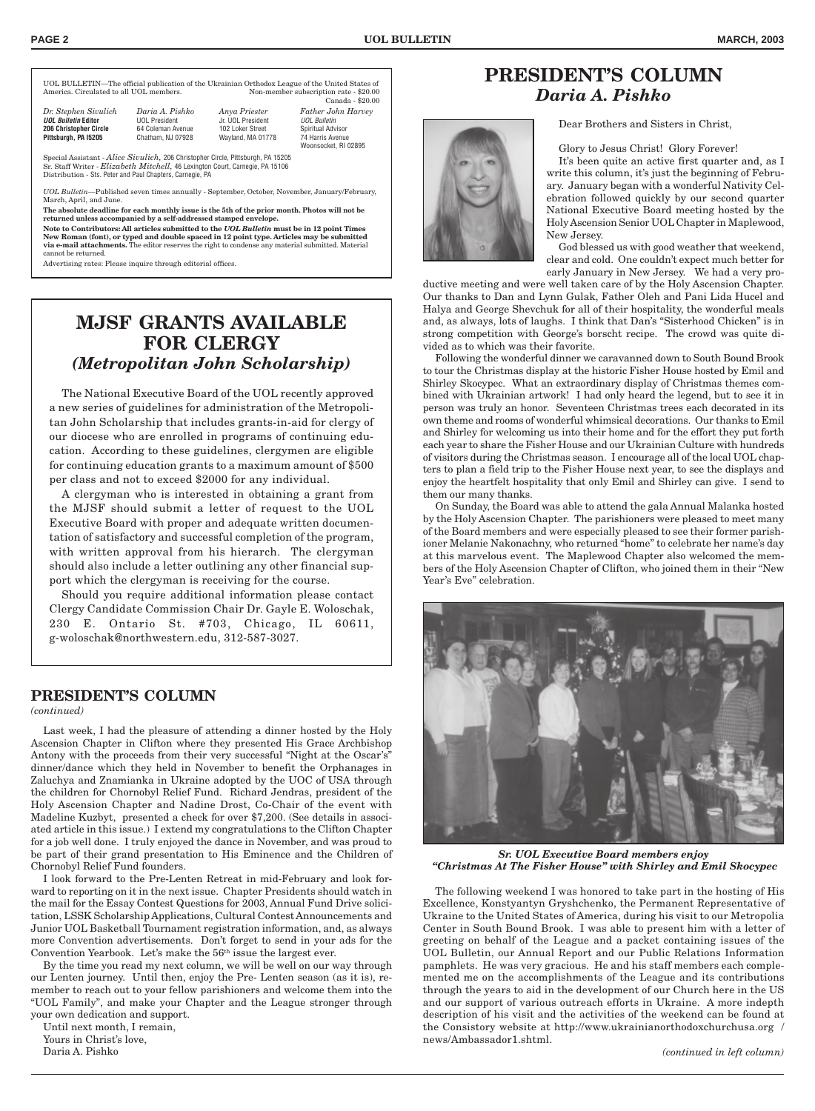UOL BULLETIN—The official publication of the Ukrainian Orthodox League of the United States of Non-member subscription rate - \$20.00

| Dr. Stephen Sivulich          | Е  |
|-------------------------------|----|
|                               |    |
| <b>UOL Bulletin Editor</b>    | U  |
| <b>206 Christopher Circle</b> | հ. |
| Pittsburgh, PA 15205          | C  |

Canada - \$20.00 *Dr. Stephen Sivulich Daria A. Pishko Anya Priester Father John Harvey* **UOL President** Jr. UOL President U*OL Bulletin*<br>1 Goleman Avenue 102 Loker Street Spiritual Advisor 4 Coleman Avenue **102 Loker Street Pittsburgh, PA I5205** Chatham, NJ 07928 Wayland, MA 01778 74 Harris Avenue

Woonsocket, RI 02895

Special Assistant - *Alice Sivulich,* 206 Christopher Circle, Pittsburgh, PA 15205 Sr. Staff Writer - *Elizabeth Mitchell,* 46 Lexington Court, Carnegie, PA 15106 Distribution - Sts. Peter and Paul Chapters, Carnegie, PA

*UOL Bulletin*—Published seven times annually - September, October, November, January/February, March, April, and June.

**The absolute deadline for each monthly issue is the 5th of the prior month. Photos will not be returned unless accompanied by a self-addressed stamped envelope.**

**Note to Contributors: All articles submitted to the** *UOL Bulletin* **must be in 12 point Times New Roman (font), or typed and double spaced in 12 point type. Articles may be submitted via e-mail attachments.** The editor reserves the right to condense any material submitted. Material cannot be returned.

Advertising rates: Please inquire through editorial offices.

# **MJSF GRANTS AVAILABLE FOR CLERGY** *(Metropolitan John Scholarship)*

The National Executive Board of the UOL recently approved a new series of guidelines for administration of the Metropolitan John Scholarship that includes grants-in-aid for clergy of our diocese who are enrolled in programs of continuing education. According to these guidelines, clergymen are eligible for continuing education grants to a maximum amount of \$500 per class and not to exceed \$2000 for any individual.

A clergyman who is interested in obtaining a grant from the MJSF should submit a letter of request to the UOL Executive Board with proper and adequate written documentation of satisfactory and successful completion of the program, with written approval from his hierarch. The clergyman should also include a letter outlining any other financial support which the clergyman is receiving for the course.

Should you require additional information please contact Clergy Candidate Commission Chair Dr. Gayle E. Woloschak, 230 E. Ontario St. #703, Chicago, IL 60611, g-woloschak@northwestern.edu, 312-587-3027.

### **PRESIDENT'S COLUMN**

*(continued)*

Last week, I had the pleasure of attending a dinner hosted by the Holy Ascension Chapter in Clifton where they presented His Grace Archbishop Antony with the proceeds from their very successful "Night at the Oscar's" dinner/dance which they held in November to benefit the Orphanages in Zaluchya and Znamianka in Ukraine adopted by the UOC of USA through the children for Chornobyl Relief Fund. Richard Jendras, president of the Holy Ascension Chapter and Nadine Drost, Co-Chair of the event with Madeline Kuzbyt, presented a check for over \$7,200. (See details in associated article in this issue.) I extend my congratulations to the Clifton Chapter for a job well done. I truly enjoyed the dance in November, and was proud to be part of their grand presentation to His Eminence and the Children of Chornobyl Relief Fund founders.

I look forward to the Pre-Lenten Retreat in mid-February and look forward to reporting on it in the next issue. Chapter Presidents should watch in the mail for the Essay Contest Questions for 2003, Annual Fund Drive solicitation, LSSK Scholarship Applications, Cultural Contest Announcements and Junior UOL Basketball Tournament registration information, and, as always more Convention advertisements. Don't forget to send in your ads for the Convention Yearbook. Let's make the 56th issue the largest ever.

By the time you read my next column, we will be well on our way through our Lenten journey. Until then, enjoy the Pre- Lenten season (as it is), remember to reach out to your fellow parishioners and welcome them into the "UOL Family", and make your Chapter and the League stronger through your own dedication and support.

Until next month, I remain, Yours in Christ's love,

Daria A. Pishko



# **PRESIDENT'S COLUMN** *Daria A. Pishko*

Dear Brothers and Sisters in Christ,

Glory to Jesus Christ! Glory Forever!

It's been quite an active first quarter and, as I write this column, it's just the beginning of February. January began with a wonderful Nativity Celebration followed quickly by our second quarter National Executive Board meeting hosted by the Holy Ascension Senior UOL Chapter in Maplewood, New Jersey.

God blessed us with good weather that weekend, clear and cold. One couldn't expect much better for early January in New Jersey. We had a very pro-

ductive meeting and were well taken care of by the Holy Ascension Chapter. Our thanks to Dan and Lynn Gulak, Father Oleh and Pani Lida Hucel and Halya and George Shevchuk for all of their hospitality, the wonderful meals and, as always, lots of laughs. I think that Dan's "Sisterhood Chicken" is in strong competition with George's borscht recipe. The crowd was quite divided as to which was their favorite.

Following the wonderful dinner we caravanned down to South Bound Brook to tour the Christmas display at the historic Fisher House hosted by Emil and Shirley Skocypec. What an extraordinary display of Christmas themes combined with Ukrainian artwork! I had only heard the legend, but to see it in person was truly an honor. Seventeen Christmas trees each decorated in its own theme and rooms of wonderful whimsical decorations. Our thanks to Emil and Shirley for welcoming us into their home and for the effort they put forth each year to share the Fisher House and our Ukrainian Culture with hundreds of visitors during the Christmas season. I encourage all of the local UOL chapters to plan a field trip to the Fisher House next year, to see the displays and enjoy the heartfelt hospitality that only Emil and Shirley can give. I send to them our many thanks.

On Sunday, the Board was able to attend the gala Annual Malanka hosted by the Holy Ascension Chapter. The parishioners were pleased to meet many of the Board members and were especially pleased to see their former parishioner Melanie Nakonachny, who returned "home" to celebrate her name's day at this marvelous event. The Maplewood Chapter also welcomed the members of the Holy Ascension Chapter of Clifton, who joined them in their "New Year's Eve" celebration.



*Sr. UOL Executive Board members enjoy "Christmas At The Fisher House" with Shirley and Emil Skocypec*

The following weekend I was honored to take part in the hosting of His Excellence, Konstyantyn Gryshchenko, the Permanent Representative of Ukraine to the United States of America, during his visit to our Metropolia Center in South Bound Brook. I was able to present him with a letter of greeting on behalf of the League and a packet containing issues of the UOL Bulletin, our Annual Report and our Public Relations Information pamphlets. He was very gracious. He and his staff members each complemented me on the accomplishments of the League and its contributions through the years to aid in the development of our Church here in the US and our support of various outreach efforts in Ukraine. A more indepth description of his visit and the activities of the weekend can be found at the Consistory website at http://www.ukrainianorthodoxchurchusa.org / news/Ambassador1.shtml.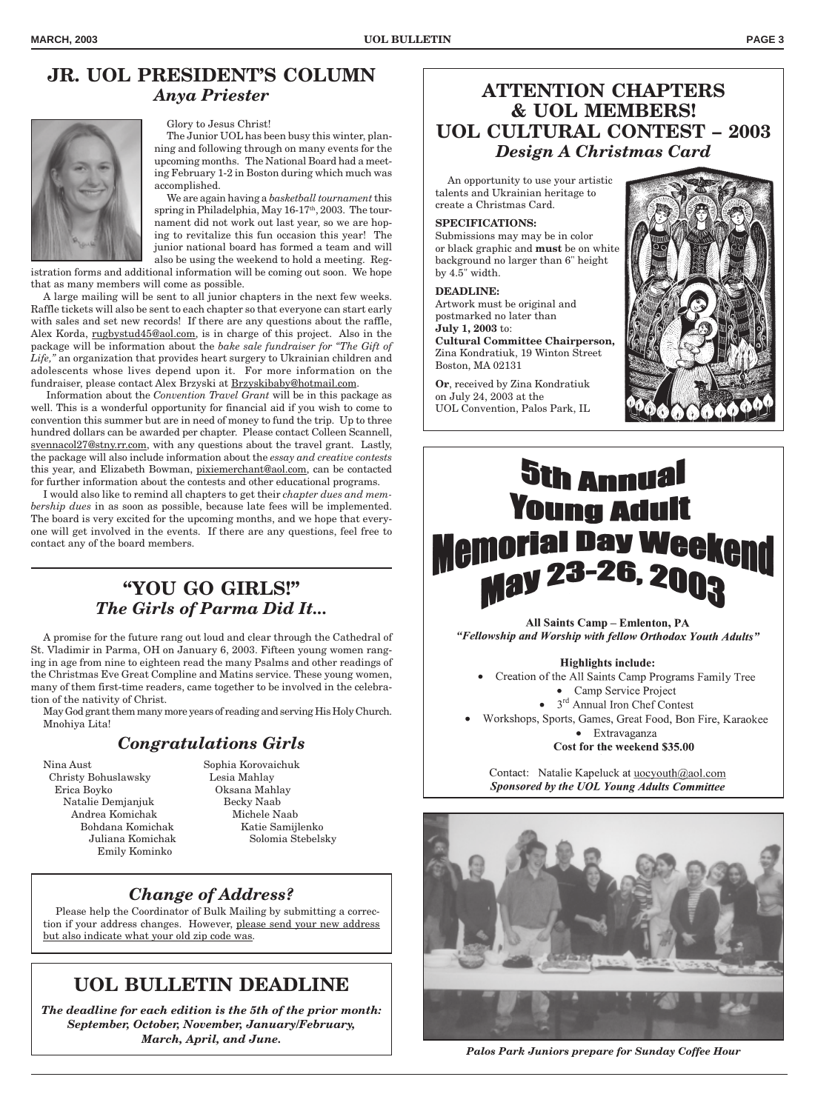# **JR. UOL PRESIDENT'S COLUMN** *Anya Priester*



Glory to Jesus Christ!

The Junior UOL has been busy this winter, planning and following through on many events for the upcoming months. The National Board had a meeting February 1-2 in Boston during which much was accomplished.

We are again having a *basketball tournament* this spring in Philadelphia, May  $16-17<sup>th</sup>$ , 2003. The tournament did not work out last year, so we are hoping to revitalize this fun occasion this year! The junior national board has formed a team and will also be using the weekend to hold a meeting. Reg-

istration forms and additional information will be coming out soon. We hope that as many members will come as possible.

A large mailing will be sent to all junior chapters in the next few weeks. Raffle tickets will also be sent to each chapter so that everyone can start early with sales and set new records! If there are any questions about the raffle, Alex Korda, rugbystud45@aol.com, is in charge of this project. Also in the package will be information about the *bake sale fundraiser for "The Gift of Life,"* an organization that provides heart surgery to Ukrainian children and adolescents whose lives depend upon it. For more information on the fundraiser, please contact Alex Brzyski at Brzyskibaby@hotmail.com.

 Information about the *Convention Travel Grant* will be in this package as well. This is a wonderful opportunity for financial aid if you wish to come to convention this summer but are in need of money to fund the trip. Up to three hundred dollars can be awarded per chapter. Please contact Colleen Scannell, svennacol27@stny.rr.com, with any questions about the travel grant. Lastly, the package will also include information about the *essay and creative contests* this year, and Elizabeth Bowman, pixiemerchant@aol.com, can be contacted for further information about the contests and other educational programs.

I would also like to remind all chapters to get their *chapter dues and membership dues* in as soon as possible, because late fees will be implemented. The board is very excited for the upcoming months, and we hope that everyone will get involved in the events. If there are any questions, feel free to contact any of the board members.

# **"YOU GO GIRLS!"** *The Girls of Parma Did It...*

A promise for the future rang out loud and clear through the Cathedral of St. Vladimir in Parma, OH on January 6, 2003. Fifteen young women ranging in age from nine to eighteen read the many Psalms and other readings of the Christmas Eve Great Compline and Matins service. These young women, many of them first-time readers, came together to be involved in the celebration of the nativity of Christ.

May God grant them many more years of reading and serving His Holy Church. Mnohiya Lita!

# *Congratulations Girls*

Nina Aust Sophia Korovaichuk Christy Bohuslawsky Lesia Mahlay Erica Boyko Oksana Mahlay Natalie Demjanjuk Becky Naab Andrea Komichak Michele Naab Emily Kominko

Bohdana Komichak Katie Samijlenko Juliana Komichak Solomia Stebelsky

# *Change of Address?*

Please help the Coordinator of Bulk Mailing by submitting a correcon if your address changes. However, please send your new address but also indicate what your old zip code was.

# **UOL BULLETIN DEADLINE**

*The deadline for each edition is the 5th of the prior month: September, October, November, January/February, March, April, and June.*

# **ATTENTION CHAPTERS & UOL MEMBERS! UOL CULTURAL CONTEST – 2003** *Design A Christmas Card*

An opportunity to use your artistic talents and Ukrainian heritage to create a Christmas Card.

### **SPECIFICATIONS:**

Submissions may may be in color or black graphic and **must** be on white background no larger than 6" height by 4.5" width.

#### **DEADLINE:**

Artwork must be original and postmarked no later than **July 1, 2003** to: **Cultural Committee Chairperson,** Zina Kondratiuk, 19 Winton Street Boston, MA 02131

**Or**, received by Zina Kondratiuk on July 24, 2003 at the UOL Convention, Palos Park, IL



# **Sth Annual Young Adult Memorial Day Weekend May 23-26, 2003**

**All Saints Camp – Emlenton, PA** "Fellowship and Worship with fellow Orthodox Youth Adults"

#### **Highlights include:**

Creation of the All Saints Camp Programs Family Tree • Camp Service Project

- $\bullet$  3<sup>rd</sup> Annual Iron Chef Contest
- Workshops, Sports, Games, Great Food, Bon Fire, Karaokee • Extravaganza

Cost for the weekend \$35.00

Contact: Natalie Kapeluck at uocyouth@aol.com Sponsored by the UOL Young Adults Committee



*Palos Park Juniors prepare for Sunday Coffee Hour*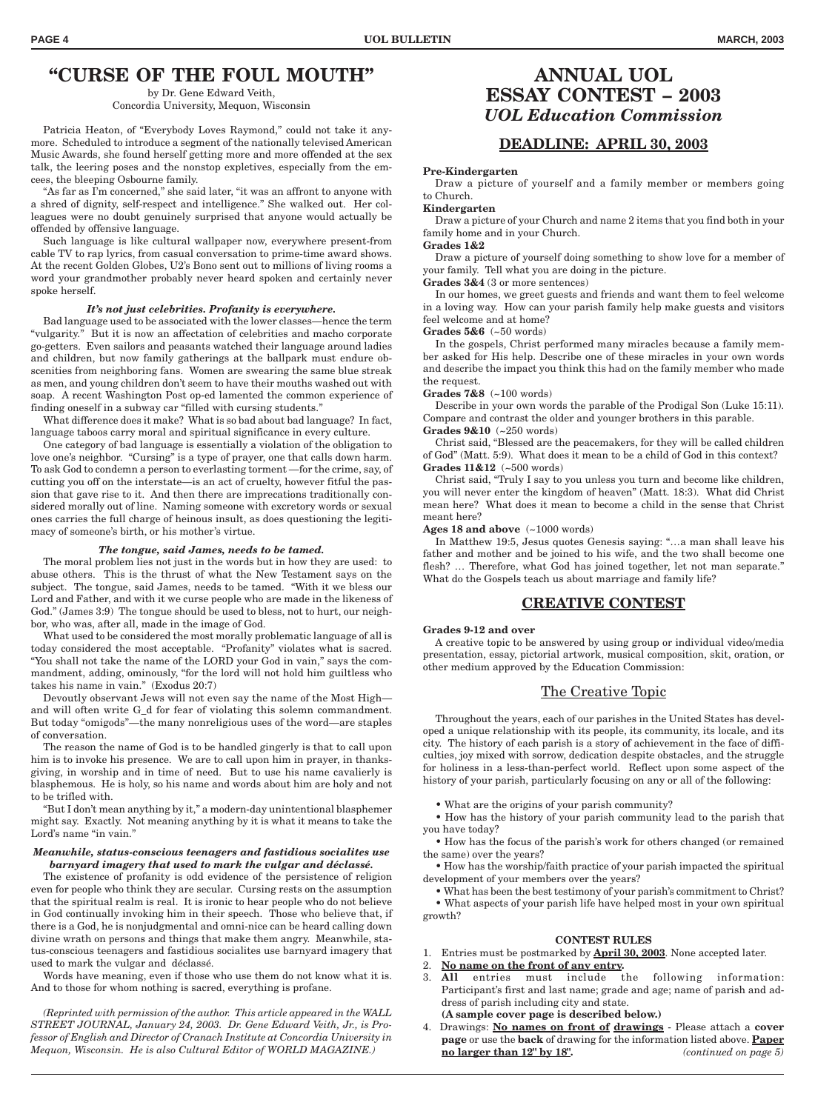# **"CURSE OF THE FOUL MOUTH"**

by Dr. Gene Edward Veith, Concordia University, Mequon, Wisconsin

Patricia Heaton, of "Everybody Loves Raymond," could not take it anymore. Scheduled to introduce a segment of the nationally televised American Music Awards, she found herself getting more and more offended at the sex talk, the leering poses and the nonstop expletives, especially from the emcees, the bleeping Osbourne family.

"As far as I'm concerned," she said later, "it was an affront to anyone with a shred of dignity, self-respect and intelligence." She walked out. Her colleagues were no doubt genuinely surprised that anyone would actually be offended by offensive language.

Such language is like cultural wallpaper now, everywhere present-from cable TV to rap lyrics, from casual conversation to prime-time award shows. At the recent Golden Globes, U2's Bono sent out to millions of living rooms a word your grandmother probably never heard spoken and certainly never spoke herself.

#### *It's not just celebrities. Profanity is everywhere.*

Bad language used to be associated with the lower classes—hence the term "vulgarity." But it is now an affectation of celebrities and macho corporate go-getters. Even sailors and peasants watched their language around ladies and children, but now family gatherings at the ballpark must endure obscenities from neighboring fans. Women are swearing the same blue streak as men, and young children don't seem to have their mouths washed out with soap. A recent Washington Post op-ed lamented the common experience of finding oneself in a subway car "filled with cursing students."

What difference does it make? What is so bad about bad language? In fact, language taboos carry moral and spiritual significance in every culture.

One category of bad language is essentially a violation of the obligation to love one's neighbor. "Cursing" is a type of prayer, one that calls down harm. To ask God to condemn a person to everlasting torment —for the crime, say, of cutting you off on the interstate—is an act of cruelty, however fitful the passion that gave rise to it. And then there are imprecations traditionally considered morally out of line. Naming someone with excretory words or sexual ones carries the full charge of heinous insult, as does questioning the legitimacy of someone's birth, or his mother's virtue.

#### *The tongue, said James, needs to be tamed.*

The moral problem lies not just in the words but in how they are used: to abuse others. This is the thrust of what the New Testament says on the subject. The tongue, said James, needs to be tamed. "With it we bless our Lord and Father, and with it we curse people who are made in the likeness of God." (James 3:9) The tongue should be used to bless, not to hurt, our neighbor, who was, after all, made in the image of God.

What used to be considered the most morally problematic language of all is today considered the most acceptable. "Profanity" violates what is sacred. "You shall not take the name of the LORD your God in vain," says the commandment, adding, ominously, "for the lord will not hold him guiltless who takes his name in vain." (Exodus 20:7)

Devoutly observant Jews will not even say the name of the Most High and will often write G\_d for fear of violating this solemn commandment. But today "omigods"—the many nonreligious uses of the word—are staples of conversation.

The reason the name of God is to be handled gingerly is that to call upon him is to invoke his presence. We are to call upon him in prayer, in thanksgiving, in worship and in time of need. But to use his name cavalierly is blasphemous. He is holy, so his name and words about him are holy and not to be trifled with.

"But I don't mean anything by it," a modern-day unintentional blasphemer might say. Exactly. Not meaning anything by it is what it means to take the Lord's name "in vain."

#### *Meanwhile, status-conscious teenagers and fastidious socialites use barnyard imagery that used to mark the vulgar and déclassé.*

The existence of profanity is odd evidence of the persistence of religion even for people who think they are secular. Cursing rests on the assumption that the spiritual realm is real. It is ironic to hear people who do not believe in God continually invoking him in their speech. Those who believe that, if there is a God, he is nonjudgmental and omni-nice can be heard calling down divine wrath on persons and things that make them angry. Meanwhile, status-conscious teenagers and fastidious socialites use barnyard imagery that used to mark the vulgar and déclassé.

Words have meaning, even if those who use them do not know what it is. And to those for whom nothing is sacred, everything is profane.

*(Reprinted with permission of the author. This article appeared in the WALL STREET JOURNAL, January 24, 2003. Dr. Gene Edward Veith, Jr., is Professor of English and Director of Cranach Institute at Concordia University in Mequon, Wisconsin. He is also Cultural Editor of WORLD MAGAZINE.)*

### **ANNUAL UOL ESSAY CONTEST – 2003** *UOL Education Commission*

### **DEADLINE: APRIL 30, 2003**

**Pre-Kindergarten**

Draw a picture of yourself and a family member or members going to Church.

**Kindergarten**

Draw a picture of your Church and name 2 items that you find both in your family home and in your Church.

**Grades 1&2**

Draw a picture of yourself doing something to show love for a member of your family. Tell what you are doing in the picture.

**Grades 3&4** (3 or more sentences)

In our homes, we greet guests and friends and want them to feel welcome in a loving way. How can your parish family help make guests and visitors feel welcome and at home?

**Grades 5&6** (~50 words)

In the gospels, Christ performed many miracles because a family member asked for His help. Describe one of these miracles in your own words and describe the impact you think this had on the family member who made the request.

**Grades 7&8** (~100 words)

Describe in your own words the parable of the Prodigal Son (Luke 15:11). Compare and contrast the older and younger brothers in this parable. **Grades 9&10** (~250 words)

Christ said, "Blessed are the peacemakers, for they will be called children of God" (Matt. 5:9). What does it mean to be a child of God in this context? **Grades 11&12** (~500 words)

Christ said, "Truly I say to you unless you turn and become like children, you will never enter the kingdom of heaven" (Matt. 18:3). What did Christ mean here? What does it mean to become a child in the sense that Christ meant here?

**Ages 18 and above** (~1000 words)

In Matthew 19:5, Jesus quotes Genesis saying: "…a man shall leave his father and mother and be joined to his wife, and the two shall become one flesh? … Therefore, what God has joined together, let not man separate." What do the Gospels teach us about marriage and family life?

### **CREATIVE CONTEST**

#### **Grades 9-12 and over**

A creative topic to be answered by using group or individual video/media presentation, essay, pictorial artwork, musical composition, skit, oration, or other medium approved by the Education Commission:

### The Creative Topic

Throughout the years, each of our parishes in the United States has developed a unique relationship with its people, its community, its locale, and its city. The history of each parish is a story of achievement in the face of difficulties, joy mixed with sorrow, dedication despite obstacles, and the struggle for holiness in a less-than-perfect world. Reflect upon some aspect of the history of your parish, particularly focusing on any or all of the following:

- What are the origins of your parish community?
- How has the history of your parish community lead to the parish that you have today?
- How has the focus of the parish's work for others changed (or remained the same) over the years?
- How has the worship/faith practice of your parish impacted the spiritual development of your members over the years?

• What has been the best testimony of your parish's commitment to Christ? • What aspects of your parish life have helped most in your own spiritual growth?

#### **CONTEST RULES**

- 1. Entries must be postmarked by **April 30, 2003**. None accepted later.
- 2. **No name on the front of any entry.**
- 3. **All** entries must include the following information: Participant's first and last name; grade and age; name of parish and address of parish including city and state.
- **(A sample cover page is described below.)**
- 4. Drawings: **No names on front of drawings** Please attach a **cover page** or use the **back** of drawing for the information listed above. **Paper no larger than 12" by 18".** *(continued on page 5)*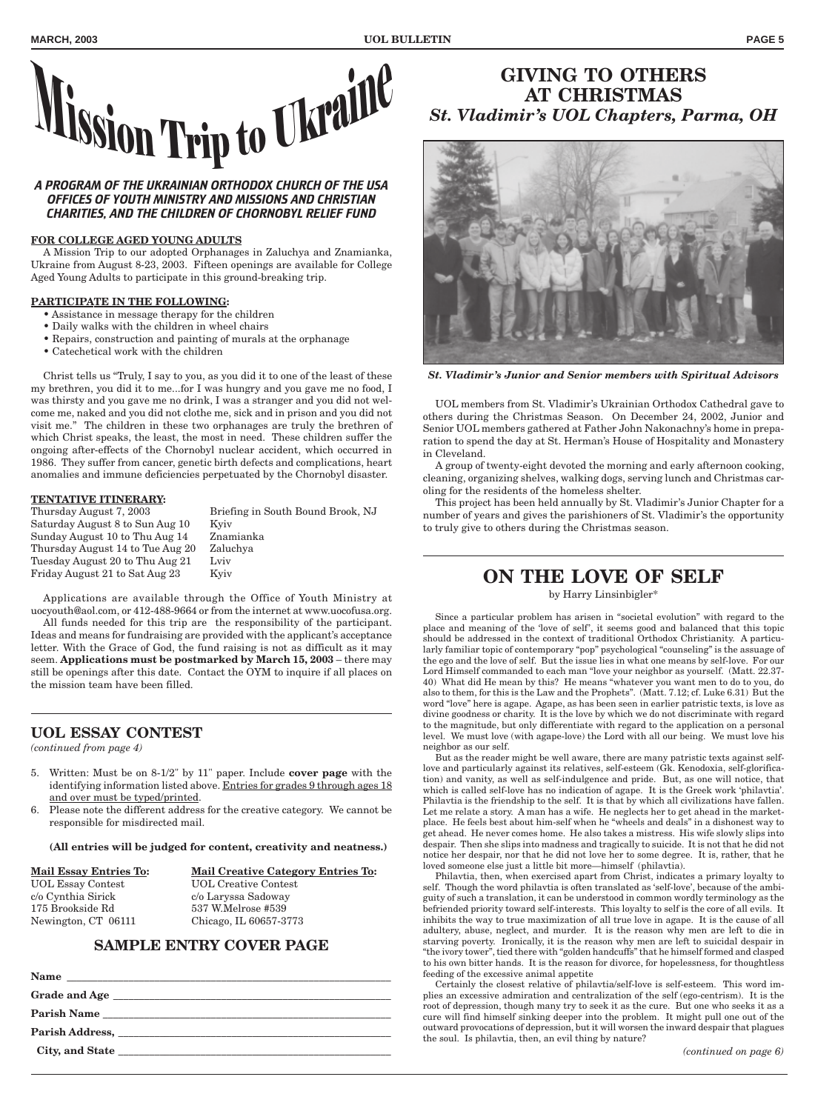

# *OFFICES OF YOUTH MINISTRY AND MISSIONS AND CHRISTIAN CHARITIES, AND THE CHILDREN OF CHORNOBYL RELIEF FUND*

### **FOR COLLEGE AGED YOUNG ADULTS**

A Mission Trip to our adopted Orphanages in Zaluchya and Znamianka, Ukraine from August 8-23, 2003. Fifteen openings are available for College Aged Young Adults to participate in this ground-breaking trip.

#### **PARTICIPATE IN THE FOLLOWING:**

- Assistance in message therapy for the children
- Daily walks with the children in wheel chairs
- Repairs, construction and painting of murals at the orphanage
- Catechetical work with the children

Christ tells us "Truly, I say to you, as you did it to one of the least of these my brethren, you did it to me...for I was hungry and you gave me no food, I was thirsty and you gave me no drink, I was a stranger and you did not welcome me, naked and you did not clothe me, sick and in prison and you did not visit me." The children in these two orphanages are truly the brethren of which Christ speaks, the least, the most in need. These children suffer the ongoing after-effects of the Chornobyl nuclear accident, which occurred in 1986. They suffer from cancer, genetic birth defects and complications, heart anomalies and immune deficiencies perpetuated by the Chornobyl disaster.

#### **TENTATIVE ITINERARY:**

Thursday August 7, 2003 Briefing in South Bound Brook, NJ Saturday August 8 to Sun Aug 10 Kyiv Sunday August 10 to Thu Aug 14 Znamianka Thursday August 14 to Tue Aug 20 Zaluchya Tuesday August 20 to Thu Aug 21 Lviv Friday August 21 to Sat Aug 23 Kyiv

Applications are available through the Office of Youth Ministry at uocyouth@aol.com, or 412-488-9664 or from the internet at www.uocofusa.org.

All funds needed for this trip are the responsibility of the participant. Ideas and means for fundraising are provided with the applicant's acceptance letter. With the Grace of God, the fund raising is not as difficult as it may seem. **Applications must be postmarked by March 15, 2003** – there may still be openings after this date. Contact the OYM to inquire if all places on the mission team have been filled.

### **UOL ESSAY CONTEST**

*(continued from page 4)*

- 5. Written: Must be on 8-1/2" by 11" paper. Include **cover page** with the identifying information listed above. Entries for grades 9 through ages 18 and over must be typed/printed.
- 6. Please note the different address for the creative category. We cannot be responsible for misdirected mail.

**(All entries will be judged for content, creativity and neatness.)**

| <b>Mail Essay Entries To:</b> | <b>Mail Creative Category Entries To:</b> |
|-------------------------------|-------------------------------------------|
| <b>UOL Essay Contest</b>      | <b>UOL</b> Creative Contest               |
| c/o Cynthia Sirick            | c/o Laryssa Sadoway                       |
| 175 Brookside Rd              | 537 W.Melrose #539                        |
| Newington, CT 06111           | Chicago, IL 60657-3773                    |
|                               |                                           |

### **SAMPLE ENTRY COVER PAGE**

# **GIVING TO OTHERS AT CHRISTMAS** *St. Vladimir's UOL Chapters, Parma, OH*



*St. Vladimir's Junior and Senior members with Spiritual Advisors*

UOL members from St. Vladimir's Ukrainian Orthodox Cathedral gave to others during the Christmas Season. On December 24, 2002, Junior and Senior UOL members gathered at Father John Nakonachny's home in preparation to spend the day at St. Herman's House of Hospitality and Monastery in Cleveland.

A group of twenty-eight devoted the morning and early afternoon cooking, cleaning, organizing shelves, walking dogs, serving lunch and Christmas caroling for the residents of the homeless shelter.

This project has been held annually by St. Vladimir's Junior Chapter for a number of years and gives the parishioners of St. Vladimir's the opportunity to truly give to others during the Christmas season.

# **ON THE LOVE OF SELF**

by Harry Linsinbigler\*

Since a particular problem has arisen in "societal evolution" with regard to the place and meaning of the 'love of self', it seems good and balanced that this topic should be addressed in the context of traditional Orthodox Christianity. A particularly familiar topic of contemporary "pop" psychological "counseling" is the assuage of the ego and the love of self. But the issue lies in what one means by self-love. For our Lord Himself commanded to each man "love your neighbor as yourself. (Matt. 22.37- 40) What did He mean by this? He means "whatever you want men to do to you, do also to them, for this is the Law and the Prophets". (Matt. 7.12; cf. Luke 6.31) But the word "love" here is agape. Agape, as has been seen in earlier patristic texts, is love as divine goodness or charity. It is the love by which we do not discriminate with regard to the magnitude, but only differentiate with regard to the application on a personal level. We must love (with agape-love) the Lord with all our being. We must love his neighbor as our self.

But as the reader might be well aware, there are many patristic texts against selflove and particularly against its relatives, self-esteem (Gk. Kenodoxia, self-glorification) and vanity, as well as self-indulgence and pride. But, as one will notice, that which is called self-love has no indication of agape. It is the Greek work 'philavtia'. Philavtia is the friendship to the self. It is that by which all civilizations have fallen. Let me relate a story. A man has a wife. He neglects her to get ahead in the marketplace. He feels best about him-self when he "wheels and deals" in a dishonest way to get ahead. He never comes home. He also takes a mistress. His wife slowly slips into despair. Then she slips into madness and tragically to suicide. It is not that he did not notice her despair, nor that he did not love her to some degree. It is, rather, that he loved someone else just a little bit more—himself (philavtia).

Philavtia, then, when exercised apart from Christ, indicates a primary loyalty to self. Though the word philavtia is often translated as 'self-love', because of the ambiguity of such a translation, it can be understood in common wordly terminology as the befriended priority toward self-interests. This loyalty to self is the core of all evils. It inhibits the way to true maximization of all true love in agape. It is the cause of all adultery, abuse, neglect, and murder. It is the reason why men are left to die in starving poverty. Ironically, it is the reason why men are left to suicidal despair in "the ivory tower", tied there with "golden handcuffs" that he himself formed and clasped to his own bitter hands. It is the reason for divorce, for hopelessness, for thoughtless feeding of the excessive animal appetite

Certainly the closest relative of philavtia/self-love is self-esteem. This word implies an excessive admiration and centralization of the self (ego-centrism). It is the root of depression, though many try to seek it as the cure. But one who seeks it as a cure will find himself sinking deeper into the problem. It might pull one out of the outward provocations of depression, but it will worsen the inward despair that plagues the soul. Is philavtia, then, an evil thing by nature?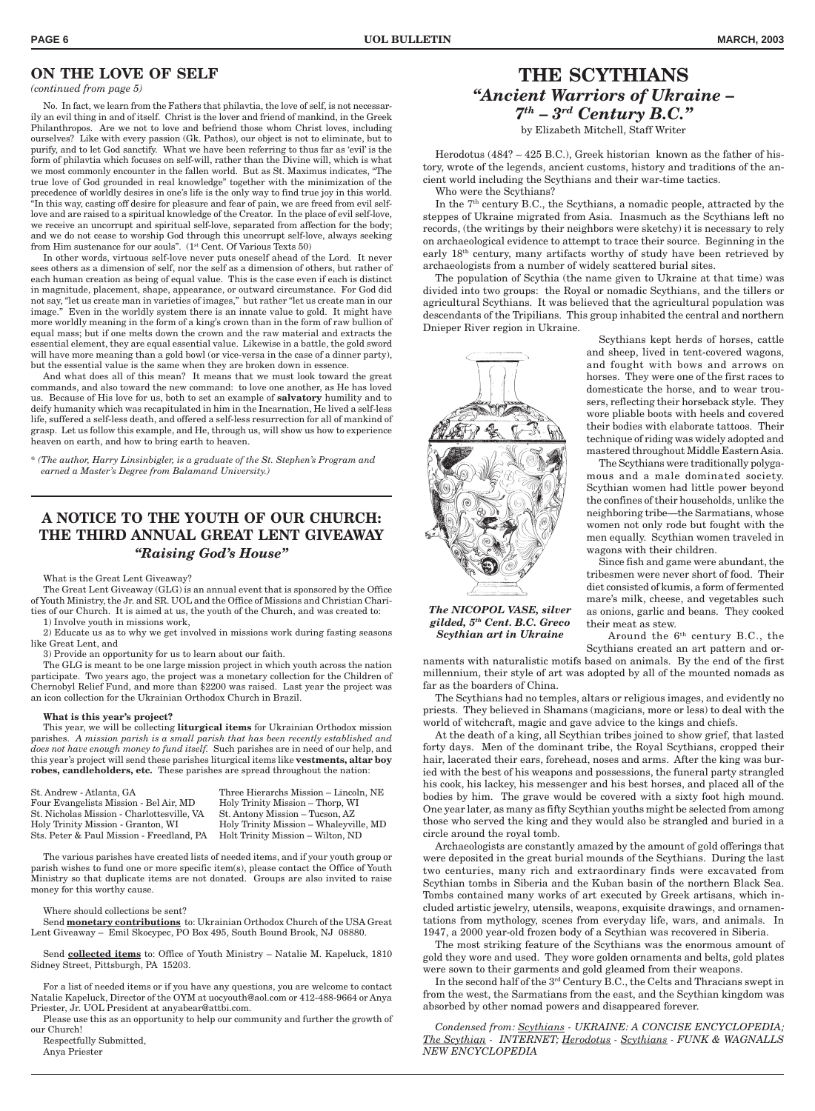### **ON THE LOVE OF SELF**

#### *(continued from page 5)*

No. In fact, we learn from the Fathers that philavtia, the love of self, is not necessarily an evil thing in and of itself. Christ is the lover and friend of mankind, in the Greek Philanthropos. Are we not to love and befriend those whom Christ loves, including ourselves? Like with every passion (Gk. Pathos), our object is not to eliminate, but to purify, and to let God sanctify. What we have been referring to thus far as 'evil' is the form of philavtia which focuses on self-will, rather than the Divine will, which is what we most commonly encounter in the fallen world. But as St. Maximus indicates, "The true love of God grounded in real knowledge" together with the minimization of the precedence of worldly desires in one's life is the only way to find true joy in this world. "In this way, casting off desire for pleasure and fear of pain, we are freed from evil selflove and are raised to a spiritual knowledge of the Creator. In the place of evil self-love, we receive an uncorrupt and spiritual self-love, separated from affection for the body; and we do not cease to worship God through this uncorrupt self-love, always seeking from Him sustenance for our souls". (1<sup>st</sup> Cent. Of Various Texts 50)

In other words, virtuous self-love never puts oneself ahead of the Lord. It never sees others as a dimension of self, nor the self as a dimension of others, but rather of each human creation as being of equal value. This is the case even if each is distinct in magnitude, placement, shape, appearance, or outward circumstance. For God did not say, "let us create man in varieties of images," but rather "let us create man in our image." Even in the worldly system there is an innate value to gold. It might have more worldly meaning in the form of a king's crown than in the form of raw bullion of equal mass; but if one melts down the crown and the raw material and extracts the essential element, they are equal essential value. Likewise in a battle, the gold sword will have more meaning than a gold bowl (or vice-versa in the case of a dinner party), but the essential value is the same when they are broken down in essence.

And what does all of this mean? It means that we must look toward the great commands, and also toward the new command: to love one another, as He has loved us. Because of His love for us, both to set an example of **salvatory** humility and to deify humanity which was recapitulated in him in the Incarnation, He lived a self-less life, suffered a self-less death, and offered a self-less resurrection for all of mankind of grasp. Let us follow this example, and He, through us, will show us how to experience heaven on earth, and how to bring earth to heaven.

*\* (The author, Harry Linsinbigler, is a graduate of the St. Stephen's Program and earned a Master's Degree from Balamand University.)*

### **A NOTICE TO THE YOUTH OF OUR CHURCH: THE THIRD ANNUAL GREAT LENT GIVEAWAY** *"Raising God's House"*

What is the Great Lent Giveaway?

The Great Lent Giveaway (GLG) is an annual event that is sponsored by the Office of Youth Ministry, the Jr. and SR. UOL and the Office of Missions and Christian Charities of our Church. It is aimed at us, the youth of the Church, and was created to: 1) Involve youth in missions work,

2) Educate us as to why we get involved in missions work during fasting seasons like Great Lent, and

3) Provide an opportunity for us to learn about our faith.

The GLG is meant to be one large mission project in which youth across the nation participate. Two years ago, the project was a monetary collection for the Children of Chernobyl Relief Fund, and more than \$2200 was raised. Last year the project was an icon collection for the Ukrainian Orthodox Church in Brazil.

#### **What is this year's project?**

This year, we will be collecting **liturgical items** for Ukrainian Orthodox mission parishes. *A mission parish is a small parish that has been recently established and does not have enough money to fund itself.* Such parishes are in need of our help, and this year's project will send these parishes liturgical items like **vestments, altar boy robes, candleholders, etc***.* These parishes are spread throughout the nation:

| St. Andrew - Atlanta, GA                   | Three Hierarchs Mission – Lincoln, NE  |
|--------------------------------------------|----------------------------------------|
| Four Evangelists Mission - Bel Air, MD     | Holy Trinity Mission – Thorp, WI       |
| St. Nicholas Mission - Charlottesville, VA | St. Antony Mission – Tucson, AZ        |
| Holy Trinity Mission - Granton, WI         | Holy Trinity Mission – Whaleyville, MD |
| Sts. Peter & Paul Mission - Freedland, PA  | Holt Trinity Mission – Wilton, ND      |
|                                            |                                        |

The various parishes have created lists of needed items, and if your youth group or parish wishes to fund one or more specific item(s), please contact the Office of Youth Ministry so that duplicate items are not donated. Groups are also invited to raise money for this worthy cause.

#### Where should collections be sent?

Send **monetary contributions** to: Ukrainian Orthodox Church of the USA Great Lent Giveaway – Emil Skocypec, PO Box 495, South Bound Brook, NJ 08880.

Send **collected items** to: Office of Youth Ministry – Natalie M. Kapeluck, 1810 Sidney Street, Pittsburgh, PA 15203.

For a list of needed items or if you have any questions, you are welcome to contact Natalie Kapeluck, Director of the OYM at uocyouth@aol.com or 412-488-9664 or Anya Priester, Jr. UOL President at anyabear@attbi.com.

Please use this as an opportunity to help our community and further the growth of our Church!

Respectfully Submitted,

Anya Priester

# **THE SCYTHIANS** *"Ancient Warriors of Ukraine – 7th – 3rd Century B.C."*

by Elizabeth Mitchell, Staff Writer

Herodotus (484? – 425 B.C.), Greek historian known as the father of history, wrote of the legends, ancient customs, history and traditions of the ancient world including the Scythians and their war-time tactics. Who were the Scythians?

In the  $7<sup>th</sup>$  century B.C., the Scythians, a nomadic people, attracted by the steppes of Ukraine migrated from Asia. Inasmuch as the Scythians left no records, (the writings by their neighbors were sketchy) it is necessary to rely on archaeological evidence to attempt to trace their source. Beginning in the early 18th century, many artifacts worthy of study have been retrieved by archaeologists from a number of widely scattered burial sites.

The population of Scythia (the name given to Ukraine at that time) was divided into two groups: the Royal or nomadic Scythians, and the tillers or agricultural Scythians. It was believed that the agricultural population was descendants of the Tripilians. This group inhabited the central and northern Dnieper River region in Ukraine.



*The NICOPOL VASE, silver gilded, 5th Cent. B.C. Greco Scythian art in Ukraine*

Scythians kept herds of horses, cattle and sheep, lived in tent-covered wagons, and fought with bows and arrows on horses. They were one of the first races to domesticate the horse, and to wear trousers, reflecting their horseback style. They wore pliable boots with heels and covered their bodies with elaborate tattoos. Their technique of riding was widely adopted and mastered throughout Middle Eastern Asia.

The Scythians were traditionally polygamous and a male dominated society. Scythian women had little power beyond the confines of their households, unlike the neighboring tribe—the Sarmatians, whose women not only rode but fought with the men equally. Scythian women traveled in wagons with their children.

Since fish and game were abundant, the tribesmen were never short of food. Their diet consisted of kumis, a form of fermented mare's milk, cheese, and vegetables such as onions, garlic and beans. They cooked their meat as stew.

Around the  $6<sup>th</sup>$  century B.C., the Scythians created an art pattern and or-

naments with naturalistic motifs based on animals. By the end of the first millennium, their style of art was adopted by all of the mounted nomads as far as the boarders of China.

The Scythians had no temples, altars or religious images, and evidently no priests. They believed in Shamans (magicians, more or less) to deal with the world of witchcraft, magic and gave advice to the kings and chiefs.

At the death of a king, all Scythian tribes joined to show grief, that lasted forty days. Men of the dominant tribe, the Royal Scythians, cropped their hair, lacerated their ears, forehead, noses and arms. After the king was buried with the best of his weapons and possessions, the funeral party strangled his cook, his lackey, his messenger and his best horses, and placed all of the bodies by him. The grave would be covered with a sixty foot high mound. One year later, as many as fifty Scythian youths might be selected from among those who served the king and they would also be strangled and buried in a circle around the royal tomb.

Archaeologists are constantly amazed by the amount of gold offerings that were deposited in the great burial mounds of the Scythians. During the last two centuries, many rich and extraordinary finds were excavated from Scythian tombs in Siberia and the Kuban basin of the northern Black Sea. Tombs contained many works of art executed by Greek artisans, which included artistic jewelry, utensils, weapons, exquisite drawings, and ornamentations from mythology, scenes from everyday life, wars, and animals. In 1947, a 2000 year-old frozen body of a Scythian was recovered in Siberia.

The most striking feature of the Scythians was the enormous amount of gold they wore and used. They wore golden ornaments and belts, gold plates were sown to their garments and gold gleamed from their weapons.

In the second half of the 3rd Century B.C., the Celts and Thracians swept in from the west, the Sarmatians from the east, and the Scythian kingdom was absorbed by other nomad powers and disappeared forever.

*Condensed from: Scythians - UKRAINE: A CONCISE ENCYCLOPEDIA; The Scythian - INTERNET; Herodotus - Scythians - FUNK & WAGNALLS NEW ENCYCLOPEDIA*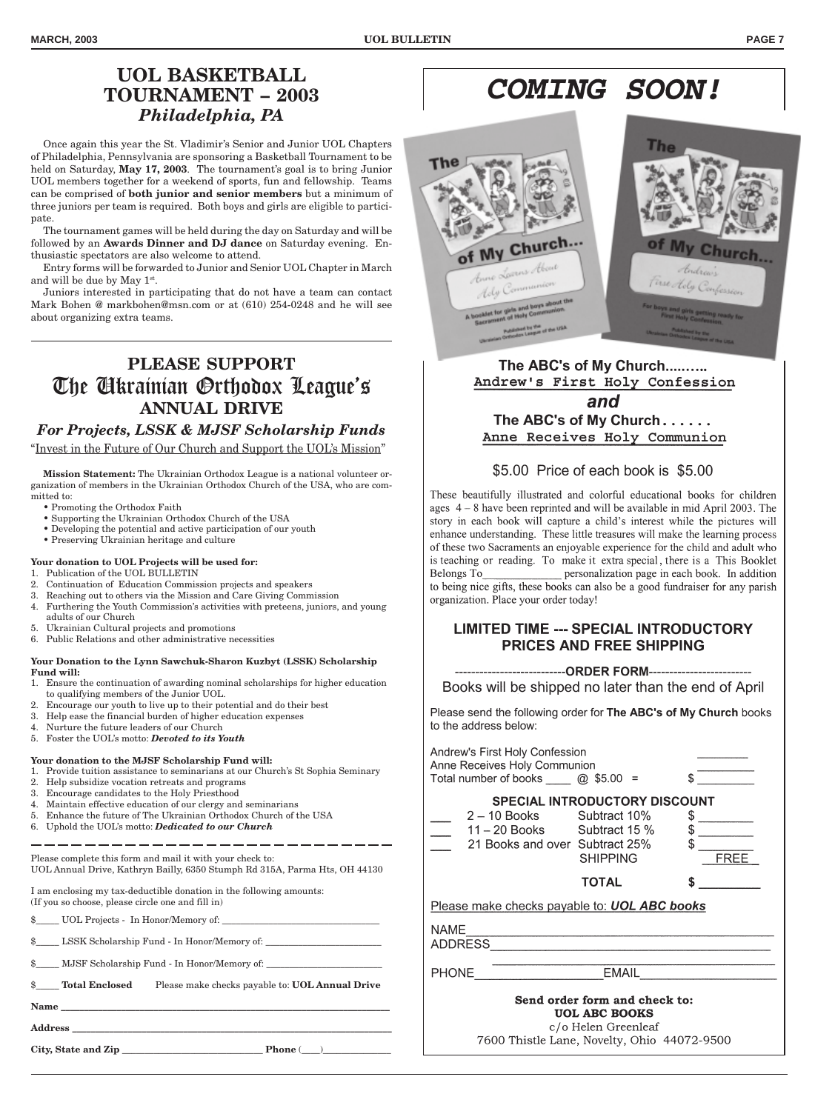# **UOL BASKETBALL TOURNAMENT – 2003** *Philadelphia, PA*

Once again this year the St. Vladimir's Senior and Junior UOL Chapters of Philadelphia, Pennsylvania are sponsoring a Basketball Tournament to be held on Saturday, **May 17, 2003**. The tournament's goal is to bring Junior UOL members together for a weekend of sports, fun and fellowship. Teams can be comprised of **both junior and senior members** but a minimum of three juniors per team is required. Both boys and girls are eligible to participate.

The tournament games will be held during the day on Saturday and will be followed by an **Awards Dinner and DJ dance** on Saturday evening. Enthusiastic spectators are also welcome to attend.

Entry forms will be forwarded to Junior and Senior UOL Chapter in March and will be due by May 1st.

Juniors interested in participating that do not have a team can contact Mark Bohen @ markbohen@msn.com or at (610) 254-0248 and he will see about organizing extra teams.

# **PLEASE SUPPORT** The Ukrainian Orthodox League's **ANNUAL DRIVE**

### *For Projects, LSSK & MJSF Scholarship Funds*

"Invest in the Future of Our Church and Support the UOL's Mission"

**Mission Statement:** The Ukrainian Orthodox League is a national volunteer organization of members in the Ukrainian Orthodox Church of the USA, who are committed to:

- Promoting the Orthodox Faith
- Supporting the Ukrainian Orthodox Church of the USA
- Developing the potential and active participation of our youth
- Preserving Ukrainian heritage and culture

#### **Your donation to UOL Projects will be used for:**

- 1. Publication of the UOL BULLETIN
- 2. Continuation of Education Commission projects and speakers
- 3. Reaching out to others via the Mission and Care Giving Commission
- 4. Furthering the Youth Commission's activities with preteens, juniors, and young adults of our Church
- 5. Ukrainian Cultural projects and promotions
- 6. Public Relations and other administrative necessities

#### **Your Donation to the Lynn Sawchuk-Sharon Kuzbyt (LSSK) Scholarship Fund will:**

- 1. Ensure the continuation of awarding nominal scholarships for higher education to qualifying members of the Junior UOL.
- 2. Encourage our youth to live up to their potential and do their best
- 3. Help ease the financial burden of higher education expenses
- 4. Nurture the future leaders of our Church 5. Foster the UOL's motto: *Devoted to its Youth*
- 

### **Your donation to the MJSF Scholarship Fund will:**

- 1. Provide tuition assistance to seminarians at our Church's St Sophia Seminary 2. Help subsidize vocation retreats and programs
- 3. Encourage candidates to the Holy Priesthood
- 4. Maintain effective education of our clergy and seminarians
- 5. Enhance the future of The Ukrainian Orthodox Church of the USA
- 6. Uphold the UOL's motto: *Dedicated to our Church*

Please complete this form and mail it with your check to: UOL Annual Drive, Kathryn Bailly, 6350 Stumph Rd 315A, Parma Hts, OH 44130

I am enclosing my tax-deductible donation in the following amounts: (If you so choose, please circle one and fill in)

 ${\rm UOL}$  Projects -  ${\rm In}$  Honor/Memory of:

LSSK Scholarship Fund - In Honor/Memory of:

 $\quad \$  \_\_\_\_\_ MJSF Scholarship Fund - In Honor/Memory of:

\$\_\_\_\_\_ **Total Enclosed** Please make checks payable to: **UOL Annual Drive**

**Name \_\_\_\_\_\_\_\_\_\_\_\_\_\_\_\_\_\_\_\_\_\_\_\_\_\_\_\_\_\_\_\_\_\_\_\_\_\_\_\_\_\_\_\_\_\_\_\_\_\_\_\_\_\_\_\_\_\_\_\_\_\_\_\_\_\_\_\_\_\_\_**

**Address \_\_\_\_\_\_\_\_\_\_\_\_\_\_\_\_\_\_\_\_\_\_\_\_\_\_\_\_\_\_\_\_\_\_\_\_\_\_\_\_\_\_\_\_\_\_\_\_\_\_\_\_\_\_\_\_\_\_\_\_\_\_\_\_\_\_\_\_\_**

**City, State and Zip** \_\_\_\_\_\_\_\_\_\_\_\_\_\_\_\_\_\_\_\_\_\_\_\_\_\_\_\_\_\_\_ **Phone** (\_\_\_\_)\_\_\_\_\_\_\_\_\_\_\_\_\_\_\_

**COMING SOON!** 



The ABC's of My Church.......... Andrew's First Holy Confession and The ABC's of My Church...... Anne Receives Holy Communion

### \$5.00 Price of each book is \$5.00

These beautifully illustrated and colorful educational books for children ages  $4 - 8$  have been reprinted and will be available in mid April 2003. The story in each book will capture a child's interest while the pictures will enhance understanding. These little treasures will make the learning process of these two Sacraments an enjoyable experience for the child and adult who is teaching or reading. To make it extra special, there is a This Booklet Belongs To representation page in each book. In addition to being nice gifts, these books can also be a good fundraiser for any parish organization. Place your order today!

### **LIMITED TIME --- SPECIAL INTRODUCTORY PRICES AND FREE SHIPPING**

### 

Books will be shipped no later than the end of April

Please send the following order for The ABC's of My Church books to the address below:

Andrough First Lloly Conformion

|                                                     | <b>Andrew's First Holy Connession</b><br>Anne Receives Holy Communion<br>Total number of books $@$ \$5.00 = | \$.                                                                          |                                         |  |
|-----------------------------------------------------|-------------------------------------------------------------------------------------------------------------|------------------------------------------------------------------------------|-----------------------------------------|--|
|                                                     | 2 - 10 Books Subtract 10%<br>$11 - 20$ Books Subtract 15 %<br>21 Books and over Subtract 25%                | <b>SPECIAL INTRODUCTORY DISCOUNT</b><br><b>SHIPPING</b>                      | \$<br>\$<br>$\mathbb{S}$<br><b>FREE</b> |  |
|                                                     |                                                                                                             | <b>TOTAL</b>                                                                 | S                                       |  |
| Please make checks payable to: <b>UOL ABC books</b> |                                                                                                             |                                                                              |                                         |  |
| <b>NAME</b><br><b>ADDRESS</b>                       |                                                                                                             |                                                                              |                                         |  |
| <b>PHONE</b>                                        |                                                                                                             | <b>EMAIL</b>                                                                 |                                         |  |
|                                                     |                                                                                                             | Send order form and check to:<br><b>UOL ABC BOOKS</b><br>c/o Helen Greenleaf |                                         |  |
|                                                     | 7600 Thistle Lane, Novelty, Ohio 44072-9500                                                                 |                                                                              |                                         |  |